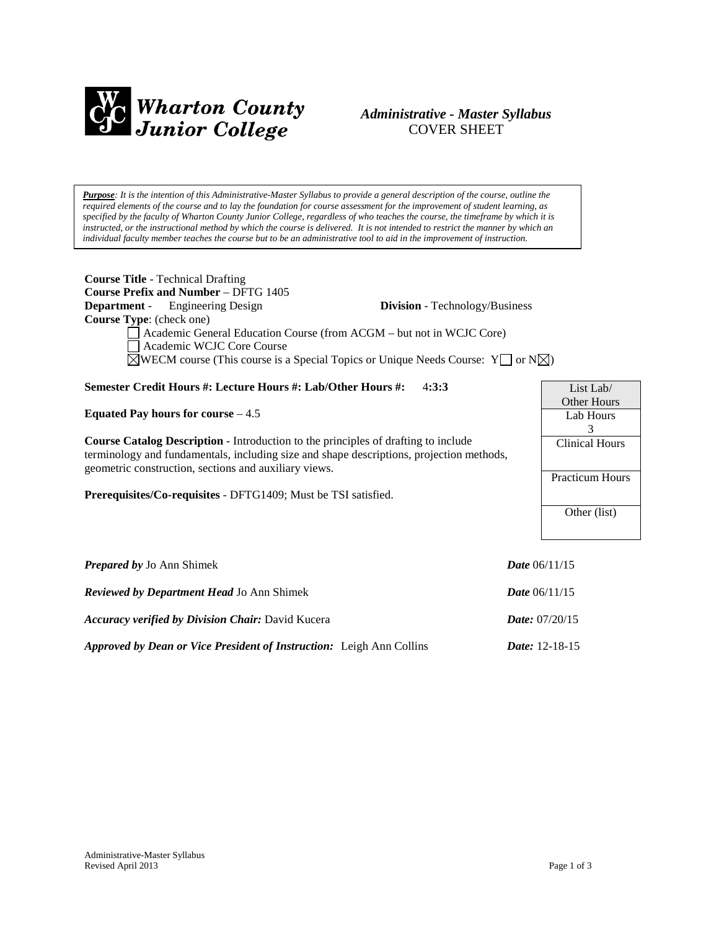

# *Administrative - Master Syllabus*  COVER SHEET

*Purpose: It is the intention of this Administrative-Master Syllabus to provide a general description of the course, outline the required elements of the course and to lay the foundation for course assessment for the improvement of student learning, as specified by the faculty of Wharton County Junior College, regardless of who teaches the course, the timeframe by which it is instructed, or the instructional method by which the course is delivered. It is not intended to restrict the manner by which an individual faculty member teaches the course but to be an administrative tool to aid in the improvement of instruction.*

| <b>Course Title</b> - Technical Drafting<br><b>Course Prefix and Number - DFTG 1405</b>                 |                                       |                       |
|---------------------------------------------------------------------------------------------------------|---------------------------------------|-----------------------|
| <b>Department</b> - Engineering Design                                                                  | <b>Division</b> - Technology/Business |                       |
| <b>Course Type:</b> (check one)                                                                         |                                       |                       |
| Academic General Education Course (from ACGM – but not in WCJC Core)                                    |                                       |                       |
| Academic WCJC Core Course                                                                               |                                       |                       |
| $\Box$ WECM course (This course is a Special Topics or Unique Needs Course: Y $\Box$ or N $\boxtimes$ ) |                                       |                       |
| Semester Credit Hours #: Lecture Hours #: Lab/Other Hours #:                                            | 4:3:3                                 | List Lab/             |
|                                                                                                         |                                       | Other Hours           |
| Equated Pay hours for course $-4.5$                                                                     |                                       | Lab Hours             |
|                                                                                                         |                                       | 3                     |
| <b>Course Catalog Description - Introduction to the principles of drafting to include</b>               |                                       | <b>Clinical Hours</b> |
| terminology and fundamentals, including size and shape descriptions, projection methods,                |                                       |                       |
| geometric construction, sections and auxiliary views.                                                   |                                       | Practicum Hours       |
| <b>Prerequisites/Co-requisites</b> - DFTG1409; Must be TSI satisfied.                                   |                                       |                       |
|                                                                                                         |                                       | Other (list)          |
|                                                                                                         |                                       |                       |
|                                                                                                         |                                       |                       |
|                                                                                                         |                                       |                       |

| <b>Prepared by Jo Ann Shimek</b>                                            | <i>Date</i> $06/11/15$  |
|-----------------------------------------------------------------------------|-------------------------|
| <b>Reviewed by Department Head Jo Ann Shimek</b>                            | <b>Date</b> $06/11/15$  |
| <b>Accuracy verified by Division Chair: David Kucera</b>                    | <i>Date:</i> $07/20/15$ |
| <b>Approved by Dean or Vice President of Instruction:</b> Leigh Ann Collins | <i>Date:</i> $12-18-15$ |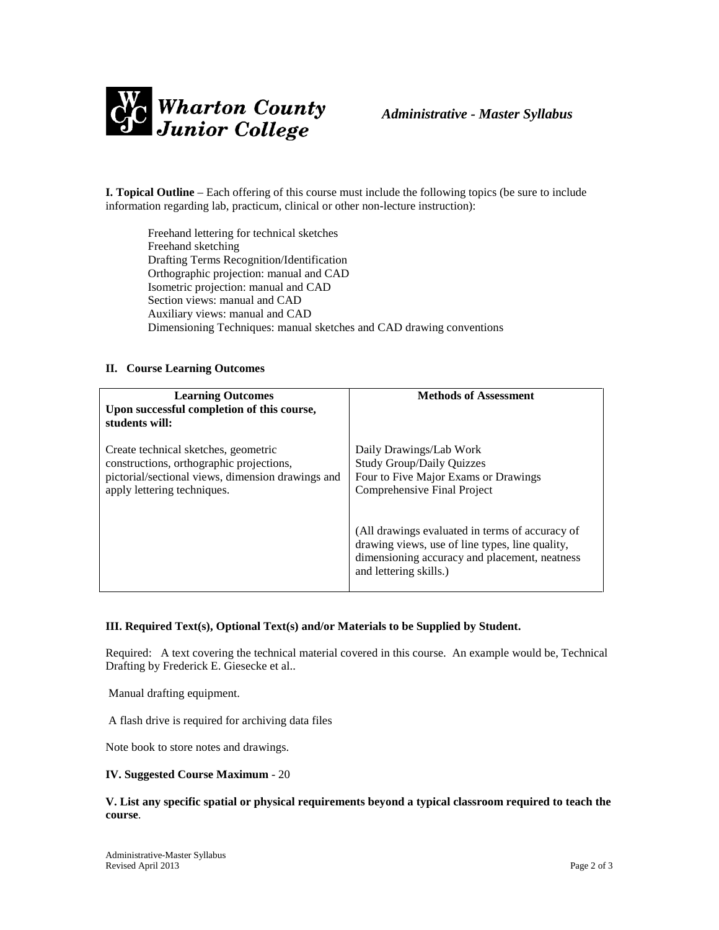

**I. Topical Outline** – Each offering of this course must include the following topics (be sure to include information regarding lab, practicum, clinical or other non-lecture instruction):

Freehand lettering for technical sketches Freehand sketching Drafting Terms Recognition/Identification Orthographic projection: manual and CAD Isometric projection: manual and CAD Section views: manual and CAD Auxiliary views: manual and CAD Dimensioning Techniques: manual sketches and CAD drawing conventions

#### **II. Course Learning Outcomes**

| <b>Learning Outcomes</b><br>Upon successful completion of this course,<br>students will:                                                                             | <b>Methods of Assessment</b>                                                                                                                                                  |
|----------------------------------------------------------------------------------------------------------------------------------------------------------------------|-------------------------------------------------------------------------------------------------------------------------------------------------------------------------------|
| Create technical sketches, geometric<br>constructions, orthographic projections,<br>pictorial/sectional views, dimension drawings and<br>apply lettering techniques. | Daily Drawings/Lab Work<br><b>Study Group/Daily Quizzes</b><br>Four to Five Major Exams or Drawings<br>Comprehensive Final Project                                            |
|                                                                                                                                                                      | (All drawings evaluated in terms of accuracy of<br>drawing views, use of line types, line quality,<br>dimensioning accuracy and placement, neatness<br>and lettering skills.) |

## **III. Required Text(s), Optional Text(s) and/or Materials to be Supplied by Student.**

Required: A text covering the technical material covered in this course. An example would be, Technical Drafting by Frederick E. Giesecke et al..

Manual drafting equipment.

A flash drive is required for archiving data files

Note book to store notes and drawings.

#### **IV. Suggested Course Maximum** - 20

#### **V. List any specific spatial or physical requirements beyond a typical classroom required to teach the course**.